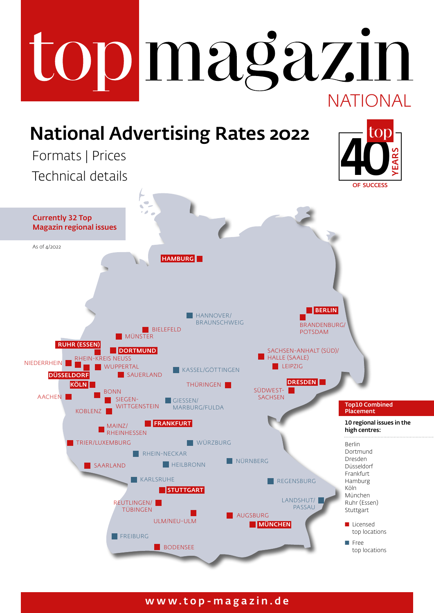## topmagazin NATIONAL National Advertising Rates 2022 40 Formats | Prices YEARSTechnical details OF SUCCESS Currently 32 Top Magazin regional issues As of  $1/2022$ HAMBURG<sup>I</sup> **BERLIN HANNOVER/** BRAUNSCHWEIG BRANDENBURG



### www.top-magazin.de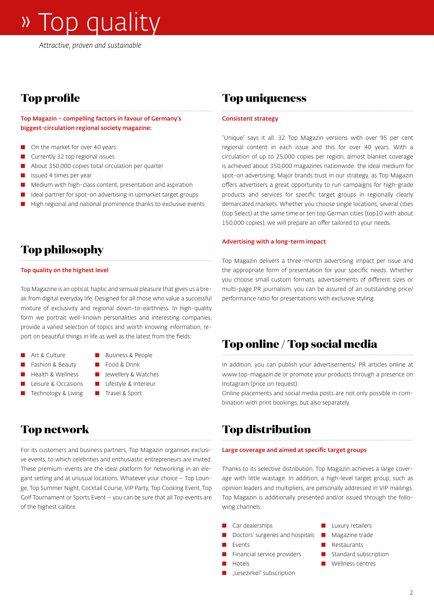# » Top quality

*Attractive, proven and sustainable*

## **Top profile**

Top Magazin – compelling factors in favour of Germany's biggest-circulation regional society magazine:

- On the market for over 40 years
- $\Box$  Currently 32 top regional issues
- **n** About 350,000 copies total circulation per quarter
- **n** Issued 4 times per year
- $\blacksquare$  Medium with high-class content, presentation and aspiration
- Ideal partner for spot-on advertising in upmarket target groups
- High regional and national prominence thanks to exclusive events

### **Top philosophy**

#### Top quality on the highest level

Top Magazine is an optical, haptic and sensual pleasure that gives us a break from digital everyday life. Designed for all those who value a successful mixture of exclusivity and regional down-to-earthness. In high-quality form we portrait well-known personalities and interesting companies, provide a varied selection of topics and worth knowing information, report on beautiful things in life as well as the latest from the fields:

- Art & Culture **n Business & People**
- Fashion & Beauty **n** Food & Drink
- Health & Wellness **n** Jewellery & Watches
- Leisure & Occasions Lifestyle & Interieur
- Technology & Living Travel & Sport
- 
- 
- 

### **Top network**

For its customers and business partners, Top Magazin organises exclusive events, to which celebrities and enthusiastic entrepreneurs are invited. These premium-events are the ideal platform for networking in an elegant setting and at unusual locations. Whatever your choice – Top Lounge, Top Summer Night, Cocktail Course, VIP Party, Top Cooking Event, Top Golf Tournament or Sports Event – you can be sure that all Top events are of the highest calibre.

### **Top uniqueness**

#### Consistent strategy

"Unique" says it all. 32 Top Magazin versions with over 95 per cent regional content in each issue and this for over 40 years. With a circulation of up to 25,000 copies per region, almost blanket coverage is achieved about 350,000 magazines nationwide: the ideal medium for spot-on advertising. Major brands trust in our strategy, as Top Magazin offers advertisers a great opportunity to run campaigns for high-grade products and services for specific target groups in regionally clearly demarcated markets. Whether you choose single locations, several cities (top Select) at the same time or ten top German cities (top10 with about 150,000 copies), we will prepare an offer tailored to your needs.

### Advertising with a long-term impact

Top Magazin delivers a three-month advertising impact per issue and the appropriate form of presentation for your specific needs. Whether you choose small custom formats, advertisements of different sizes or multi-page PR journalism, you can be assured of an outstanding price/ performance ratio for presentations with exclusive styling.

### **Top online / Top social media**

In addition, you can publish your advertisements/ PR articles online at www.top-magazin.de or promote your products through a presence on Instagram (price on request).

Online placements and social media posts are not only possible in combination with print bookings, but also separately.

### **Top distribution**

#### Large coverage and aimed at specific target groups

Thanks to its selective distribution, Top Magazin achieves a large coverage with little wastage. In addition, a high-level target group, such as opinion leaders and multipliers, are personally addressed in VIP mailings. Top Magazin is additionally presented and/or issued through the following channels:

- Car dealerships n Luxury retailers
- Doctors' surgeries and hospitals **n** Magazine trade
- 
- Financial service providers **n** Standard subscription
- 
- "Lesezirkel" subscription
- 
- 
- Events **n Restaurants** 
	-
- Hotels n → Nellness centres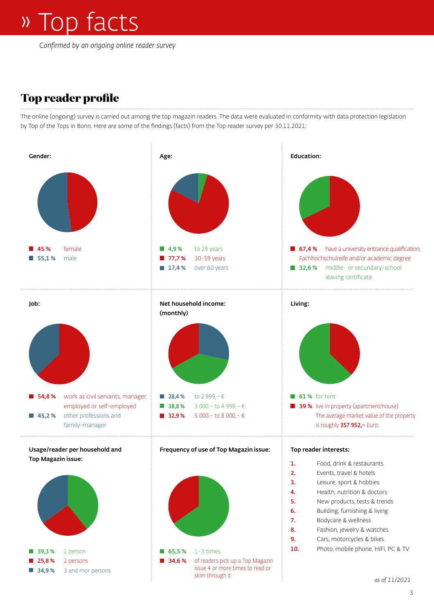*Confirmed by an ongoing online reader survey*

## **Top reader profile**

The online (ongoing) survey is carried out among the top magazin readers. The data were evaluated in conformity with data protection legislation by Top of the Tops in Bonn. Here are some of the findings (facts) from the Top reader survey per 30.11.2021:

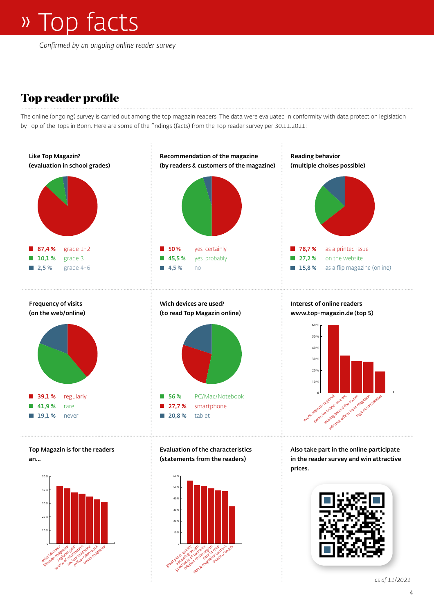## » Top facts

*Confirmed by an ongoing online reader survey*

## **Top reader profile**

The online (ongoing) survey is carried out among the top magazin readers. The data were evaluated in conformity with data protection legislation by Top of the Tops in Bonn. Here are some of the findings (facts) from the Top reader survey per 30.11.2021:

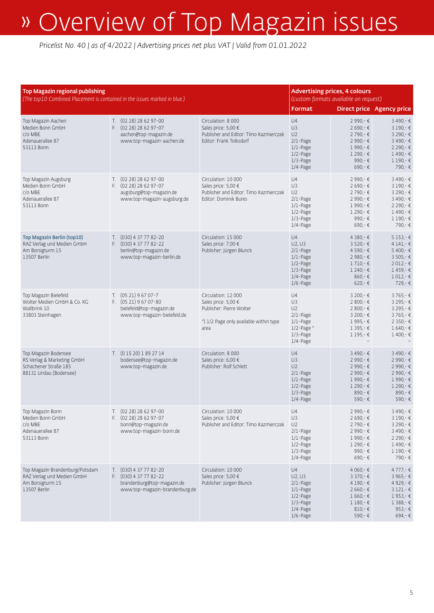| <b>Top Magazin regional publishing</b><br>(The top10 Combined Placement is contained in the issues marked in blue.) |  |                                                                                                                    |                                                                                                                          | <b>Advertising prices, 4 colours</b><br>(custom formats available on request)                                                   |                                                                                                                      |                                                                                                                   |
|---------------------------------------------------------------------------------------------------------------------|--|--------------------------------------------------------------------------------------------------------------------|--------------------------------------------------------------------------------------------------------------------------|---------------------------------------------------------------------------------------------------------------------------------|----------------------------------------------------------------------------------------------------------------------|-------------------------------------------------------------------------------------------------------------------|
|                                                                                                                     |  |                                                                                                                    |                                                                                                                          | Format                                                                                                                          | <b>Direct price Agency price</b>                                                                                     |                                                                                                                   |
| Top Magazin Aachen<br>Medien Bonn GmbH<br>$c/O$ MBF<br>Adenauerallee 87<br>53113 Bonn                               |  | T. (02 28) 28 62 97-00<br>F. (02 28) 28 62 97-07<br>aachen@top-magazin.de<br>www.top-magazin-aachen.de             | Circulation: 8 000<br>Sales price: 5,00 €<br>Publisher and Editor: Timo Kazmierczak<br>Editor: Frank Tolksdorf           | U4<br>U3<br>U <sub>2</sub><br>$2/1$ -Page<br>$1/1$ -Page<br>$1/2$ -Page<br>$1/3$ -Page<br>$1/4$ -Page                           | 2 990,-€<br>2 690,-€<br>2 790,-€<br>2 990,-€<br>$1990 -$ €<br>$1290 -$ €<br>990,-€<br>$690 - \epsilon$               | 3 490,-€<br>3 190 -€<br>3 290,-€<br>3 490,-€<br>2 290,-€<br>1490 -€<br>$1190 -$ €<br>790,-€                       |
| Top Magazin Augsburg<br>Medien Bonn GmbH<br>c/o MBE<br>Adenauerallee 87<br>53113 Bonn                               |  | T. (02 28) 28 62 97-00<br>F. (02 28) 28 62 97-07<br>augsburg@top-magazin.de<br>www.top-magazin-augsburg.de         | Circulation: 10 000<br>Sales price: 5,00 €<br>Publisher and Editor: Timo Kazmierczak<br>Editor: Dominik Bures            | U4<br>U3<br>U <sub>2</sub><br>$2/1$ -Page<br>$1/1$ -Page<br>$1/2$ -Page<br>$1/3$ -Page<br>$1/4$ -Page                           | 2 990,-€<br>$2690 -$ €<br>2 790,-€<br>2 990,-€<br>$1990 -$ €<br>$1290 -$ €<br>990,-€<br>$690 - \epsilon$             | 3 490,-€<br>3 190,-€<br>3 290 - €<br>3490,-€<br>2 290,-€<br>1490,-€<br>1 190,-€<br>790 - €                        |
| <b>Top Magazin Berlin (top10)</b><br>RAZ Verlag und Medien GmbH<br>Am Borsigturm 15<br>13507 Berlin                 |  | T. (030) 4 37 77 82-20<br>F. (030) 4 37 77 82-22<br>berlin@top-magazin.de<br>www.top-magazin-berlin.de             | Circulation: 15 000<br>Sales price: 7,00 €<br>Publisher: Jürgen Blunck                                                   | U4<br>U2, U3<br>$2/1$ -Page<br>$1/1$ -Page<br>$1/2$ -Page<br>$1/3$ -Page<br>$1/4$ -Page<br>$1/6$ -Page                          | 4 380,-€<br>$3520 -$ €<br>4 590,-€<br>$2980 -$ €<br>$1710 - \epsilon$<br>$1240 - \epsilon$<br>$860 - E$<br>$620 - 6$ | $5153 - E$<br>4 141,-€<br>5400 - €<br>$3505 -$ €<br>$2012 - E$<br>$1459 -$ €<br>$1012 - 6$<br>729.-€              |
| Top Magazin Bielefeld<br>Wolter Medien GmbH & Co. KG<br>Wallbrink 10<br>33803 Steinhagen                            |  | $T.$ (05 21) 9 67 07-7<br>F. $(0521)96707 - 80$<br>bielefeld@top-magazin.de<br>www.top-magazin-bielefeld.de        | Circulation: 12 000<br>Sales price: 5,00 €<br>Publisher: Pierre Wolter<br>*) 1/2 Page only available within type<br>area | U4<br>U3<br>U <sub>2</sub><br>$2/1$ -Page<br>$1/1$ -Page<br>$1/2$ -Page $*$<br>$1/3$ -Page<br>$1/4$ -Page                       | 3 200 - €<br>2 800 - €<br>$2800 -$ €<br>3 200,-€<br>1995 -€<br>$1395 -$ €<br>$1195 - 6$                              | 3765 - €<br>3 295 - €<br>3 295 - €<br>3765 - €<br>2 3 50 - €<br>1640 -€<br>1400 -€                                |
| Top Magazin Bodensee<br>RS Verlag & Marketing GmbH<br>Schachener Straße 185<br>88131 Lindau (Bodensee)              |  | T. (0 15 20) 1 89 27 14<br>bodensee@top-magazin.de<br>www.top-magazin.de                                           | Circulation: 8 000<br>Sales price: 6,00 €<br>Publisher: Rolf Schlett                                                     | U4<br>U <sub>3</sub><br>U <sub>2</sub><br>$2/1$ -Page<br>$1/1$ -Page<br>$1/2$ -Page<br>$1/3$ -Page<br>$1/4$ -Page               | 3 490 €<br>2 990,-€<br>2 990,-€<br>2 990 - €<br>1 990 -€<br>$1290 -$ €<br>890,-€<br>590,-€                           | 3490 -€<br>2 990 - €<br>2 990 - €<br>2 990 - €<br>1990 -€<br>1 290 -€<br>890,-€<br>590,-€                         |
| Top Magazin Bonn<br>Medien Bonn GmbH<br>$C/O$ MBE<br>Adenauerallee 87<br>53113 Bonn                                 |  | T. (02 28) 28 62 97-00<br>F. (02 28) 28 62 97-07<br>bonn@top-magazin.de<br>www.top-magazin-bonn.de                 | Circulation: 10 000<br>Sales price: 5,00 €<br>Publisher and Editor: Timo Kazmierczak                                     | U4<br>U3<br>U <sub>2</sub><br>$2/1$ -Page<br>1/1-Page<br>$1/2$ -Page<br>$1/3$ -Page<br>$1/4$ -Page                              | 2 990,-€<br>2 690,-€<br>2 790,-€<br>2 990,-€<br>1 990,-€<br>1 290,-€<br>990,-€<br>$690 - E$                          | 3 490,-€<br>$3190 - \epsilon$<br>$3290 -$ €<br>3 490,-€<br>2 290,-€<br>1490,-€<br>$1190-€$<br>790,-€              |
| Top Magazin Brandenburg/Potsdam<br>RAZ Verlag und Medien GmbH<br>Am Borsigturm 15<br>13507 Berlin                   |  | T. (030) 4 37 77 82-20<br>F. $(030)$ 4 37 77 82-22<br>brandenburg@top-magazin.de<br>www.top-magazin-brandenburg.de | Circulation: 10 000<br>Sales price: 5,00 €<br>Publisher: Jürgen Blunck                                                   | U4<br>U <sub>2</sub> , U <sub>3</sub><br>$2/1$ -Page<br>$1/1$ -Page<br>$1/2$ -Page<br>$1/3$ -Page<br>$1/4$ -Page<br>$1/6$ -Page | $4060 - \epsilon$<br>$3370 - €$<br>4 190,-€<br>$2660 - \epsilon$<br>$1660 -$ €<br>$1180-€$<br>$810 - 6$<br>590,-€    | 4777,-€<br>3 965,-€<br>4 929,-€<br>$3121 - 6$<br>$1953 -$ €<br>$1388 -$ €<br>953,- $\epsilon$<br>$694 - \epsilon$ |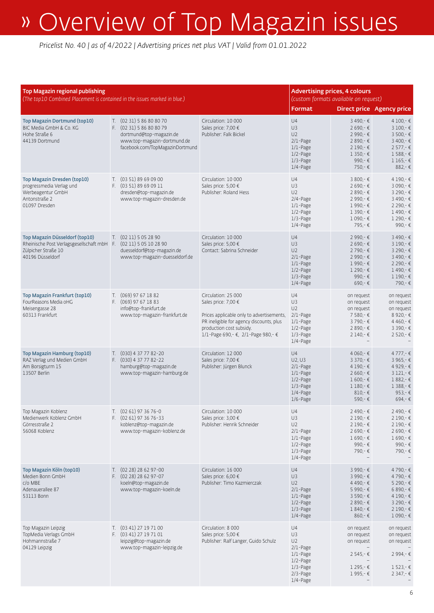| Top Magazin regional publishing<br>(The top10 Combined Placement is contained in the issues marked in blue.)                                  |  |                                                                                                                                                   |                                                                                                                                                                                                       | <b>Advertising prices, 4 colours</b><br>(custom formats available on request)                                        |                                                                                                                             |                                                                                                                                              |
|-----------------------------------------------------------------------------------------------------------------------------------------------|--|---------------------------------------------------------------------------------------------------------------------------------------------------|-------------------------------------------------------------------------------------------------------------------------------------------------------------------------------------------------------|----------------------------------------------------------------------------------------------------------------------|-----------------------------------------------------------------------------------------------------------------------------|----------------------------------------------------------------------------------------------------------------------------------------------|
| Top Magazin Dortmund (top10)<br>BIC Media GmbH & Co. KG<br>Hohe Straße 6<br>44139 Dortmund                                                    |  | T. (02 31) 5 86 80 80 70<br>F. (02 31) 5 86 80 80 79<br>dortmund@top-magazin.de<br>www.top-magazin-dortmund.de<br>facebook.com/TopMagazinDortmund | Circulation: 10 000<br>Sales price: 7,00 €<br>Publisher: Falk Bickel                                                                                                                                  | Format<br>U4<br>U3<br>U <sub>2</sub><br>$2/1$ -Page<br>$1/1$ -Page<br>$1/2$ -Page<br>$1/3$ -Page<br>1/4-Page         | $3490 -$ €<br>$2690 -$ €<br>2 990,-€<br>$2890 - \epsilon$<br>$2190 -$ €<br>$1350 - \epsilon$<br>990 $-F$<br>750,-€          | <b>Direct price Agency price</b><br>$4100 -$ €<br>$3100 - 6$<br>$3500 -$ €<br>$3400 - 6$<br>$2577 -$ €<br>$1588 - €$<br>$1165 -$ €<br>882,-€ |
| Top Magazin Dresden (top10)<br>progressmedia Verlag und<br>Werbeagentur GmbH<br>Antonstraße 2<br>01097 Dresden                                |  | T. (03 51) 89 69 09 00<br>F. (03 51) 89 69 09 11<br>dresden@top-magazin.de<br>www.top-magazin-dresden.de                                          | Circulation: 10 000<br>Sales price: 5,00 €<br>Publisher: Roland Hess                                                                                                                                  | U4<br>U3<br>U <sub>2</sub><br>$2/4$ -Page<br>$1/1$ -Page<br>$1/2$ -Page<br>$1/3$ -Page<br>$1/4$ -Page                | $3800 -$ €<br>$2690 -$ €<br>$2890 - \epsilon$<br>$2990 -$ €<br>$1990 -$ €<br>$1390 -$ €<br>$1090 -$ ∈<br>795,-€             | 4 190,-€<br>3 090,-€<br>3 290,-€<br>3490,-€<br>2 290,-€<br>1490,-€<br>1 290,-€<br>990,-€                                                     |
| Top Magazin Düsseldorf (top10)<br>Rheinische Post Verlagsgesellschaft mbH F. (02 11) 5 05 10 28 90<br>Zülpicher Straße 10<br>40196 Düsseldorf |  | T. (02 11) 5 05 28 90<br>duesseldorf@top-magazin.de<br>www.top-magazin-duesseldorf.de                                                             | Circulation: 10 000<br>Sales price: 5,00 €<br>Contact: Sabrina Schneider                                                                                                                              | U4<br>U3<br>U <sub>2</sub><br>$2/1$ -Page<br>$1/1$ -Page<br>$1/2$ -Page<br>$1/3$ -Page<br>$1/4$ -Page                | 2 990,-€<br>$2690 -$ €<br>2 790,-€<br>2 990,-€<br>$1990 -$ €<br>$1290 -$ €<br>990 $- E$<br>$690 - \epsilon$                 | 3 490,-€<br>$3190 - \epsilon$<br>3 290 - €<br>$3490 -$ €<br>$2290 -$ €<br>1490,-€<br>1190 -€<br>790 - €                                      |
| Top Magazin Frankfurt (top10)<br>FourReasons Media oHG<br>Meisengasse 28<br>60313 Frankfurt                                                   |  | T. (069) 97 67 18 82<br>F. (069) 97 67 18 83<br>info@top-frankfurt.de<br>www.top-magazin-frankfurt.de                                             | Circulation: 25 000<br>Sales price: 7,00 €<br>Prices applicable only to advertisements,<br>PR ineligible for agency discounts, plus<br>production cost subsidy.<br>1/1-Page 690,- €, 2/1-Page 980,- € | U4<br>U3<br>U <sub>2</sub><br>$2/1$ -Page<br>$1/1$ -Page<br>$1/2$ -Page<br>1/3-Page<br>1/4-Page                      | on request<br>on request<br>on request<br>7 580 - €<br>3790,-€<br>$2890 - \epsilon$<br>$2140-€$                             | on request<br>on request<br>on request<br>8 9 20 - €<br>4 4 60,- €<br>3 3 9 0, − €<br>$2520 - \epsilon$                                      |
| Top Magazin Hamburg (top10)<br>RAZ Verlag und Medien GmbH<br>Am Borsigturm 15<br>13507 Berlin                                                 |  | T. (030) 4 37 77 82-20<br>F. (030) 4 37 77 82-22<br>hamburg@top-magazin.de<br>www.top-magazin-hamburg.de                                          | Circulation: 12 000<br>Sales price: 7,00 €<br>Publisher: Jürgen Blunck                                                                                                                                | U4<br>U2, U3<br>$2/1$ -Page<br>$1/1$ -Page<br>$1/2$ -Page<br>$1/3$ -Page<br>1/4-Page<br>$1/6$ -Page                  | 4 060 = €<br>3 370 - €<br>$4190 -$ €<br>$2660 - \epsilon$<br>$1600 -$ €<br>$1180-€$<br>$810 - 6$<br>590,-€                  | 4777,-€<br>3 965,-€<br>4929 - €<br>$3121 - 6$<br>1882,-€<br>$1388 -$ €<br>$953 - €$<br>694 - €                                               |
| Top Magazin Koblenz<br>Medienwerk Koblenz GmbH<br>Görresstraße 2<br>56068 Koblenz                                                             |  | $T.$ $(0261)$ 97 36 76-0<br>F. $(0261)$ 97 36 76-33<br>koblenz@top-magazin.de<br>www.top-magazin-koblenz.de                                       | Circulation: 10 000<br>Sales price: $3,00 \in$<br>Publisher: Henrik Schneider                                                                                                                         | U4<br>U3<br>U <sub>2</sub><br>$2/1$ -Page<br>$1/1$ -Page<br>$1/2$ -Page<br>$1/3$ -Page<br>$1/4$ -Page                | $2490 -$ €<br>2 190 €<br>$2190 -$ €<br>$2690 - \epsilon$<br>$1690 -$ €<br>990,- $\epsilon$<br>790,-€                        | 2490,-€<br>$2190 -$ €<br>$2190 -$ €<br>2 690,-€<br>$1690-€$<br>990,-€<br>790,-€                                                              |
| Top Magazin Köln (top10)<br>Medien Bonn GmbH<br>c/o MBE<br>Adenauerallee 87<br>53113 Bonn                                                     |  | T. (02 28) 28 62 97-00<br>F. (02 28) 28 62 97-07<br>koeln@top-magazin.de<br>www.top-magazin-koeln.de                                              | Circulation: 16 000<br>Sales price: 6,00 €<br>Publisher: Timo Kazmierczak                                                                                                                             | U4<br>U3<br>U2<br>$2/1$ -Page<br>$1/1$ -Page<br>$1/2$ -Page<br>$1/3$ -Page<br>$1/4$ -Page                            | $3990 -$ €<br>$3990 -$ €<br>4 490,-€<br>5 990,- €<br>$3590 - \epsilon$<br>$2890 - \epsilon$<br>$1840-€$<br>$860 - \epsilon$ | 4790,-€<br>4790 -€<br>$5290 -$ €<br>$6890 - \epsilon$<br>$4190 -$ €<br>$3290 -$ €<br>$2190 -$ €<br>1 090,-€                                  |
| Top Magazin Leipzig<br>TopMedia Verlags GmbH<br>Hohmannstraße 7<br>04129 Leipzig                                                              |  | T. (03 41) 27 19 71 00<br>F. (03 41) 27 19 71 01<br>leipzig@top-magazin.de<br>www.top-magazin-leipzig.de                                          | Circulation: 8 000<br>Sales price: 5,00 €<br>Publisher: Ralf Langer, Guido Schulz                                                                                                                     | U4<br>U3<br>U <sub>2</sub><br>$2/1$ -Page<br>$1/1$ -Page<br>$1/2$ -Page<br>$1/3$ -Page<br>$2/3$ -Page<br>$1/4$ -Page | on request<br>on request<br>on request<br>$2545 - \epsilon$<br>$1295 - \epsilon$<br>$1995 - \epsilon$                       | on request<br>on request<br>on request<br>2994,-€<br>$1523 - €$<br>$2347 - €$                                                                |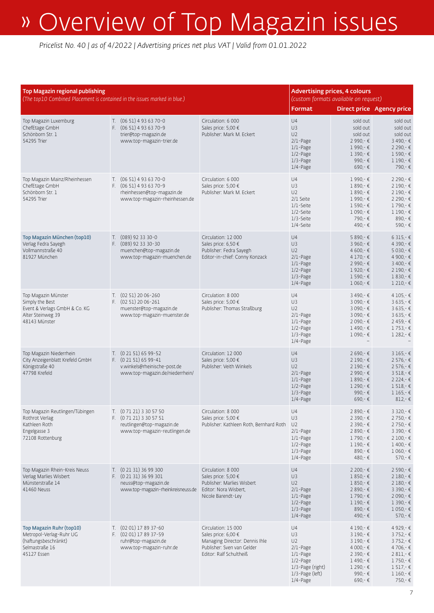| Top Magazin regional publishing<br>(The top10 Combined Placement is contained in the issues marked in blue.)  |                                                                                                                         |                                                                                                                                       | <b>Format</b>                                                                                                                 | <b>Advertising prices, 4 colours</b><br>(custom formats available on request)                                             | <b>Direct price Agency price</b>                                                                                                              |
|---------------------------------------------------------------------------------------------------------------|-------------------------------------------------------------------------------------------------------------------------|---------------------------------------------------------------------------------------------------------------------------------------|-------------------------------------------------------------------------------------------------------------------------------|---------------------------------------------------------------------------------------------------------------------------|-----------------------------------------------------------------------------------------------------------------------------------------------|
| Top Magazin Luxemburg<br>ChefEtage GmbH<br>Schönborn Str. 1<br>54295 Trier                                    | T. (06 51) 4 93 63 70-0<br>F. $(0651)$ 4 93 63 70-9<br>trier@top-magazin.de<br>www.top-magazin-trier.de                 | Circulation: 6 000<br>Sales price: 5,00 €<br>Publisher: Mark M. Eckert                                                                | U4<br>U <sub>3</sub><br>U <sub>2</sub><br>$2/1$ -Page<br>$1/1$ -Page<br>1/2-Page<br>$1/3$ -Page<br>$1/4$ -Page                | sold out<br>sold out<br>sold out<br>2 990,-€<br>1 990,-€<br>$1390 -$ €<br>990,- $\epsilon$<br>$690 - \epsilon$            | sold out<br>sold out<br>sold out<br>3490 -€<br>2 2 9 0, − €<br>1 590 -€<br>$1190-€$<br>790,-€                                                 |
| Top Magazin Mainz/Rheinhessen<br>ChefEtage GmbH<br>Schönborn Str. 1<br>54295 Trier                            | T. $(0651)4936370-0$<br>F. $(0651)$ 4 93 63 70-9<br>rheinhessen@top-magazin.de<br>www.top-magazin-rheinhessen.de        | Circulation: 6 000<br>Sales price: 5,00 €<br>Publisher: Mark M. Eckert                                                                | U4<br>U3<br>U <sub>2</sub><br>2/1 Seite<br>$1/1$ -Seite<br>1/2-Seite<br>1/3-Seite<br>1/4-Seite                                | 1990,-€<br>$1890 -$ €<br>$1890 -$ €<br>1990,-€<br>$1590 - E$<br>$1090 -$ €<br>790,-€<br>490,-€                            | 2 2 9 0, − €<br>2 190,-€<br>2 190,-€<br>2 2 9 0, − €<br>1790,-€<br>$1190 - 6$<br>890,-€<br>590,-€                                             |
| Top Magazin München (top10)<br>Verlag Fedra Sayegh<br>Vollmannstraße 40<br>81927 München                      | $T.$ (089) 92 33 30-0<br>F. (089) 92 33 30-30<br>muenchen@top-magazin.de<br>www.top-magazin-muenchen.de                 | Circulation: 12 000<br>Sales price: 6,50 €<br>Publisher: Fedra Sayegh<br>Editor-in-chief: Conny Konzack                               | U4<br>U3<br>U <sub>2</sub><br>$2/1$ -Page<br>$1/1$ -Page<br>$1/2$ -Page<br>$1/3$ -Page<br>$1/4$ -Page                         | 5 890,-€<br>$3960 -$ €<br>4 600 = €<br>$4170 - €$<br>2 990 - €<br>$1920 -$ €<br>1 590 -€<br>$1060 - \epsilon$             | $6315 - E$<br>4 3 9 0, − €<br>5 0 3 0 − €<br>4 900,-€<br>$3400 -$ €<br>$2190 -$ €<br>1830 -€<br>$1210 - 6$                                    |
| Top Magazin Münster<br>Simply the Best<br>Event & Verlags GmbH & Co. KG<br>Alter Steinweg 39<br>48143 Münster | $T.$ (02 51) 20 06-260<br>F. (02 51) 20 06-261<br>muenster@top-magazin.de<br>www.top-magazin-muenster.de                | Circulation: 8 000<br>Sales price: 5,00 €<br>Publisher: Thomas Straßburg                                                              | U4<br>U3<br>U <sub>2</sub><br>$2/1$ -Page<br>$1/1$ -Page<br>$1/2$ -Page<br>$1/3$ -Page<br>$1/4$ -Page                         | 3 490 €<br>3 090 €<br>3 090 €<br>3 090 €<br>$2090 -$ €<br>1490 -€<br>$1090 -$ €                                           | 4 105 -€<br>$3635 - E$<br>$3635 - E$<br>$3635 - E$<br>2459 - €<br>1753 - €<br>1 282 - €                                                       |
| Top Magazin Niederrhein<br>City Anzeigenblatt Krefeld GmbH<br>Königstraße 40<br>47798 Krefeld                 | T. (0 21 51) 65 99-52<br>$F.$ $(0 21 51) 65 99 - 41$<br>v.winkels@rheinische-post.de<br>www.top-magazin.de/niederrhein/ | Circulation: 12 000<br>Sales price: 5,00 €<br>Publisher: Veith Winkels                                                                | U4<br>U <sub>3</sub><br>U <sub>2</sub><br>$2/1$ -Page<br>$1/1$ -Page<br>$1/2$ -Page<br>$1/3$ -Page<br>$1/4$ -Page             | 2 690,-€<br>$2190 -$ €<br>$2190 -$ €<br>2 990 - €<br>$1890 - 6$<br>$1290 -$ €<br>990,- $\epsilon$<br>$690 - \epsilon$     | $3165 - E$<br>2 576 - €<br>2 576 - €<br>$3518 - E$<br>2 2 2 4 - €<br>$1518 - \epsilon$<br>$1165 - E$<br>$812 -$ €                             |
| Top Magazin Reutlingen/Tübingen<br>Rothrot Verlag<br>Kathleen Roth<br>Engelgasse 3<br>72108 Rottenburg        | T. (0 71 21) 3 30 57 50<br>F. (0 71 21) 3 30 57 51<br>reutlingen@top-magazin.de<br>www.top-magazin-reutlingen.de        | Circulation: 8 000<br>Sales price: 5,00 €<br>Publisher: Kathleen Roth, Bernhard Roth                                                  | U4<br>U3<br>U <sub>2</sub><br>$2/1$ -Page<br>$1/1$ -Page<br>$1/2$ -Page<br>$1/3$ -Page<br>$1/4$ -Page                         | 2 890,-€<br>2 390,-€<br>2 390,-€<br>2 890,-€<br>1790 -€<br>$1190-€$<br>890,-€<br>480,-€                                   | $3320 - €$<br>2750,-€<br>$2750 -$ €<br>$3390 -$ €<br>$2100 - E$<br>$1400 -$ €<br>$1060 -$ €<br>$570 - E$                                      |
| Top Magazin Rhein-Kreis Neuss<br>Verlag Marlies Wisbert<br>Münsterstraße 14<br>41460 Neuss                    | T. (0 21 31) 36 99 300<br>F. (0 21 31) 36 99 301<br>neuss@top-magazin.de<br>www.top-magazin-rheinkreisneuss.de          | Circulation: 8 000<br>Sales price: 5,00 €<br>Publisher: Marlies Wisbert<br>Editor: Nora Wisbert,<br>Nicole Barendt-Ley                | U4<br>U3<br>U <sub>2</sub><br>$2/1$ -Page<br>$1/1$ -Page<br>$1/2$ -Page<br>$1/3$ -Page<br>$1/4$ -Page                         | $2200 -$ €<br>$1850-€$<br>$1850-€$<br>$2890 -$ €<br>1790,-€<br>$1190-€$<br>890,-€<br>490,-€                               | $2590 -$ €<br>$2180-€$<br>$2180 - E$<br>3 3 9 0 .- €<br>$2090 -$ €<br>$1390 -$ €<br>$1050 -$ €<br>$570 - \epsilon$                            |
| Top Magazin Ruhr (top10)<br>Metropol-Verlag-Ruhr UG<br>(haftungsbeschränkt)<br>Selmastraße 16<br>45127 Essen  | T. (02 01) 17 89 37-60<br>F. (02 01) 17 89 37-59<br>ruhr@top-magazin.de<br>www.top-magazin-ruhr.de                      | Circulation: 15 000<br>Sales price: 6,00 €<br>Managing Director: Dennis Ihle<br>Publisher: Sven van Gelder<br>Editor: Ralf Schultheiß | U4<br>U3<br>U <sub>2</sub><br>$2/1$ -Page<br>$1/1$ -Page<br>$1/2$ -Page<br>1/3-Page (right)<br>1/3-Page (left)<br>$1/4$ -Page | 4 190,-€<br>$3190 - E$<br>$3190 - E$<br>4 000,- €<br>$2390 -$ €<br>$1490 -$ €<br>$1290 -$ €<br>990,- $\epsilon$<br>690,-€ | 4 9 2 9, - €<br>$3752 - \epsilon$<br>$3752 - \epsilon$<br>$4706 - \epsilon$<br>$2811 -$ €<br>$1750 -$ €<br>$1517 -$ €<br>$1160 -$ €<br>750,-€ |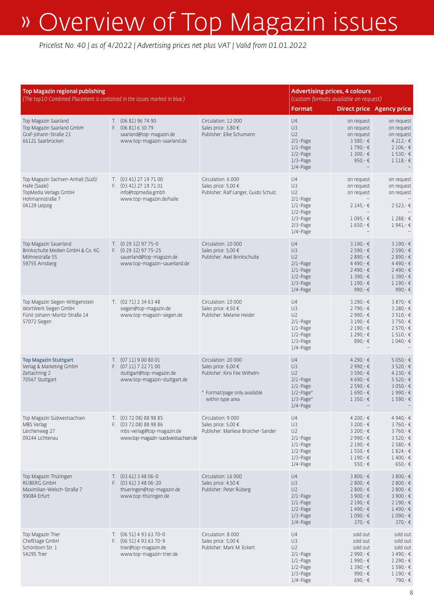| Top Magazin regional publishing<br>(The top10 Combined Placement is contained in the issues marked in blue.)    |  |                                                                                                                     |                                                                                                                                | <b>Format</b>                                                                                                        | <b>Advertising prices, 4 colours</b><br>(custom formats available on request)                                 | <b>Direct price Agency price</b>                                                                                        |
|-----------------------------------------------------------------------------------------------------------------|--|---------------------------------------------------------------------------------------------------------------------|--------------------------------------------------------------------------------------------------------------------------------|----------------------------------------------------------------------------------------------------------------------|---------------------------------------------------------------------------------------------------------------|-------------------------------------------------------------------------------------------------------------------------|
| Top Magazin Saarland<br>Top Magazin Saarland GmbH<br>Graf-Johann-Straße 23<br>66121 Saarbrücken                 |  | T. (06 81) 96 74 90<br>F. (06 81) 6 30 79<br>saarland@top-magazin.de<br>www.top-magazin-saarland.de                 | Circulation: 12 000<br>Sales price: 3,80 €<br>Publisher: Elke Schumann                                                         | U4<br>U3<br>U <sub>2</sub><br>$2/1$ -Page<br>$1/1$ -Page<br>$1/2$ -Page<br>$1/3$ -Page<br>$1/4$ -Page                | on request<br>on request<br>on request<br>$3580 - \epsilon$<br>$1790 -$ €<br>$1300 -$ €<br>950,- $\epsilon$   | on request<br>on request<br>on request<br>$4212 - €$<br>$2106 -$ €<br>$1530 -$ €<br>$1118 - 6$                          |
| Top Magazin Sachsen-Anhalt (Süd)/<br>Halle (Saale)<br>TopMedia Verlags GmbH<br>Hohmannstraße 7<br>04129 Leipzig |  | T. (03 41) 27 19 71 00<br>F. (03 41) 27 19 71 01<br>info@topmedia.gmbh<br>www.top-magazin.de/halle                  | Circulation: 6 000<br>Sales price: 5,00 €<br>Publisher: Ralf Langer, Guido Schulz                                              | U4<br>U3<br>U <sub>2</sub><br>$2/1$ -Page<br>$1/1$ -Page<br>$1/2$ -Page<br>$1/3$ -Page<br>$2/3$ -Page<br>$1/4$ -Page | on request<br>on request<br>on request<br>$2145 -$ €<br>$1095 -$ €<br>$1650 -$ €                              | on request<br>on request<br>on request<br>$2523 - \epsilon$<br>$1288 -$ €<br>$1941 - E$                                 |
| Top Magazin Sauerland<br>Brinkschulte Medien GmbH & Co. KG<br>Möhnestraße 55<br>59755 Arnsberg                  |  | $T.$ (0 29 32) 97 75-0<br>F. (0 29 32) 97 75-25<br>sauerland@top-magazin.de<br>www.top-magazin-sauerland.de         | Circulation: 10 000<br>Sales price: 5,00 €<br>Publisher: Axel Brinkschulte                                                     | U4<br>U3<br>U <sub>2</sub><br>$2/1$ -Page<br>$1/1$ -Page<br>$1/2$ -Page<br>$1/3$ -Page<br>$1/4$ -Page                | $3190 - E$<br>2 590,-€<br>$2890 -$ €<br>4 490 - €<br>$2490 -$ €<br>1 390 -€<br>$1190 - 6$<br>990,- $\epsilon$ | 3 190 -€<br>$2590 -$ €<br>2 890 - €<br>4490,-€<br>$2490 -$ €<br>$1390 -$ €<br>$1190 - \epsilon$<br>990,- $E$            |
| Top Magazin Siegen-Wittgenstein<br>WortWerk Siegen GmbH<br>Fürst-Johann-Moritz-Straße 14<br>57072 Siegen        |  | T. $(0271)$ 2 34 63 48<br>siegen@top-magazin.de<br>www.top-magazin-siegen.de                                        | Circulation: 10 000<br>Sales price: 4,50 €<br>Publisher: Melanie Heider                                                        | U4<br>U3<br>U <sub>2</sub><br>$2/1$ -Page<br>$1/1$ -Page<br>1/2-Page<br>$1/3$ -Page<br>$1/4$ -Page                   | 3 290,-€<br>2 790,-€<br>2 990 - €<br>$3190 - \epsilon$<br>$2190 -$ €<br>$1290 -$ €<br>890,-€                  | 3 870,-€<br>3 2 8 0, − €<br>$3510 - 6$<br>$3750 -$ €<br>$2570 -$ €<br>$1510-€$<br>$1040-€$                              |
| <b>Top Magazin Stuttgart</b><br>Verlag & Marketing GmbH<br>Zettachring 2<br>70567 Stuttgart                     |  | T. (07 11) 9 00 80 01<br>F. (07 11) 7 22 71 00<br>stuttgart@top-magazin.de<br>www.top-magazin-stuttgart.de          | Circulation: 20 000<br>Sales price: 6,00 €<br>Publisher: Kirsi Fee Wilhelm<br>* Format/page only available<br>within type area | U4<br>U3<br>U <sub>2</sub><br>$2/1$ -Page<br>$1/1$ -Page<br>$1/2$ -Page*<br>$1/3$ -Page*<br>$1/4$ -Page              | 4 290 - €<br>2 990,-€<br>3 590,-€<br>4 690,-€<br>$2590 -$ €<br>$1690 -$ €<br>$1350 -$ €                       | 5 0 50,-€<br>3 5 20, - €<br>$4230 - \epsilon$<br>$5520 - \epsilon$<br>$3050 -$ €<br>1990 -€<br>1 590,-€                 |
| Top Magazin Südwestsachsen<br>MBS Verlag<br>Lärchenweg 27<br>09244 Lichtenau                                    |  | T. (03 72 08) 88 98 85<br>F. (03 72 08) 88 98 86<br>mbs-verlag@top-magazin.de<br>www.top-magazin-suedwestsachsen.de | Circulation: 9 000<br>Sales price: 5,00 €<br>Publisher: Marliese Broicher-Sander                                               | U4<br>U3<br>U2<br>$2/1$ -Page<br>$1/1$ -Page<br>$1/2$ -Page<br>$1/3$ -Page<br>$1/4$ -Page                            | 4 200,-€<br>$3200 -$ €<br>$3200 -$ €<br>2 990,-€<br>2 190 -€<br>$1550 -$ €<br>$1190-€$<br>$550 - \epsilon$    | 4 940,-€<br>$3760 - E$<br>$3760 - E$<br>$3520 - \epsilon$<br>$2580 -$ €<br>$1824 - E$<br>$1400 -$ €<br>$650 - \epsilon$ |
| Top Magazin Thüringen<br>RÜBERG GmbH<br>Maximilian-Welsch-Straße 7<br>99084 Erfurt                              |  | $T.$ (03 61) 3 48 06-0<br>F. (03 61) 3 48 06-20<br>thueringen@top-magazin.de<br>www.top-thüringen.de                | Circulation: 16 000<br>Sales price: 4,50 €<br>Publisher: Peter Rüberg                                                          | U4<br>U3<br>U <sub>2</sub><br>$2/1$ -Page<br>$1/1$ -Page<br>$1/2$ -Page<br>$1/3$ -Page<br>$1/4$ -Page                | $3800 -$ €<br>$2800 -$ €<br>$2800 -$ €<br>3 900 €<br>$2190 -$ €<br>$1490 -$ €<br>$1090 -$ €<br>$370 - €$      | $3800 -$ €<br>$2800 -$ €<br>$2800 -$ €<br>$3900 -$ €<br>$2190 -$ €<br>$1490 -$ €<br>$1090 -$ €<br>$370 - €$             |
| Top Magazin Trier<br>ChefEtage GmbH<br>Schönborn Str. 1<br>54295 Trier                                          |  | $T.$ (06 51) 4 93 63 70-0<br>F. $(0651)$ 4 93 63 70-9<br>trier@top-magazin.de<br>www.top-magazin-trier.de           | Circulation: 8 000<br>Sales price: 5,00 €<br>Publisher: Mark M. Eckert                                                         | U4<br>U3<br>U <sub>2</sub><br>$2/1$ -Page<br>$1/1$ -Page<br>$1/2$ -Page<br>$1/3$ -Page<br>$1/4$ -Page                | sold out<br>sold out<br>sold out<br>2 990,-€<br>1 990,-€<br>1 390,-€<br>990,-€<br>690,-€                      | sold out<br>sold out<br>sold out<br>$3490 -$ €<br>$2290 -$ €<br>$1590 -$ €<br>$1190-€$<br>790,-€                        |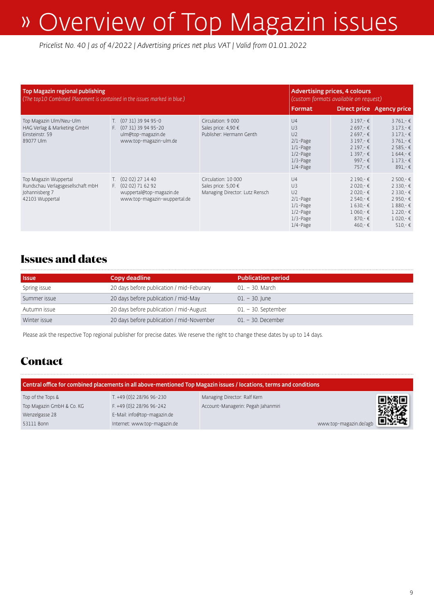*Pricelist No. 40 | as of 4/2022 | Advertising prices net plus VAT | Valid from 01.01.2022*

| Top Magazin regional publishing<br>(The top10 Combined Placement is contained in the issues marked in blue.) |                                                                                                         |                                                                              | <b>Advertising prices, 4 colours</b><br>(custom formats available on request)                                                 |                                                                                                                                                          |                                                                                                                           |  |
|--------------------------------------------------------------------------------------------------------------|---------------------------------------------------------------------------------------------------------|------------------------------------------------------------------------------|-------------------------------------------------------------------------------------------------------------------------------|----------------------------------------------------------------------------------------------------------------------------------------------------------|---------------------------------------------------------------------------------------------------------------------------|--|
|                                                                                                              |                                                                                                         |                                                                              | <b>Format</b>                                                                                                                 |                                                                                                                                                          | <b>Direct price Agency price</b>                                                                                          |  |
| Top Magazin Ulm/Neu-Ulm<br>HAG Verlag & Marketing GmbH<br>Einsteinstr. 59<br>89077 Ulm                       | T. (07 31) 39 94 95-0<br>F. (07 31) 39 94 95-20<br>ulm@top-magazin.de<br>www.top-magazin-ulm.de         | Circulation: 9 000<br>Sales price: 4,90 €<br>Publisher: Hermann Genth        | U <sup>4</sup><br>U <sub>3</sub><br>U <sub>2</sub><br>$2/1$ -Page<br>$1/1$ -Page<br>$1/2$ -Page<br>$1/3$ -Page<br>$1/4$ -Page | $3197 - E$<br>$2697 - \epsilon$<br>$2697 - \epsilon$<br>$3197 - E$<br>$2197 - E$<br>$1397 - €$<br>997.- $\epsilon$<br>$757 - \epsilon$                   | $3761 - E$<br>$3173 - E$<br>$3173 - E$<br>$3761 - E$<br>$2585 - \epsilon$<br>$1644 - \epsilon$<br>$1173 - €$<br>$891 - 6$ |  |
| Top Magazin Wuppertal<br>Rundschau Verlagsgesellschaft mbH<br>Johannisberg 7<br>42103 Wuppertal              | T. (02 02) 27 14 40<br>F. $(0202)$ 71 62 92<br>wuppertal@top-magazin.de<br>www.top-magazin-wuppertal.de | Circulation: 10 000<br>Sales price: 5,00 €<br>Managing Director: Lutz Rensch | U <sub>4</sub><br>U <sub>3</sub><br>U <sub>2</sub><br>$2/1$ -Page<br>$1/1$ -Page<br>$1/2$ -Page<br>$1/3$ -Page<br>$1/4$ -Page | $2190 - \epsilon$<br>$2020 - \epsilon$<br>$2020 - \epsilon$<br>$2540 - \epsilon$<br>$1630 - \epsilon$<br>$1060 - \epsilon$<br>870,-€<br>$460 - \epsilon$ | $2500 -$ €<br>$2330 -$ €<br>$2330 -$ €<br>$2950 - \epsilon$<br>$1880 - E$<br>$1220 -$ €<br>$1020 - E$<br>$510 - 6$        |  |

### **Issues and dates**

| <b>Issue</b> | Copy deadline                             | <b>Publication period</b> |
|--------------|-------------------------------------------|---------------------------|
| Spring issue | 20 days before publication / mid-Feburary | 01. – 30. March           |
| Summer issue | 20 days before publication / mid-May      | $01. - 30.$ June          |
| Autumn issue | 20 days before publication / mid-August   | $01. - 30.$ September     |
| Winter issue | 20 days before publication / mid-November | $01. - 30.$ December      |

Please ask the respective Top regional publisher for precise dates. We reserve the right to change these dates by up to 14 days.

### **Contact**

| Central office for combined placements in all above-mentioned Top Magazin issues / locations, terms and conditions |                              |                                                  |  |  |
|--------------------------------------------------------------------------------------------------------------------|------------------------------|--------------------------------------------------|--|--|
| Top of the Tops &                                                                                                  | T. +49 (0)2 28/96 96-230     | Managing Director: Ralf Kern                     |  |  |
| Top Magazin GmbH & Co. KG                                                                                          | F. +49 (0)2 28/96 96-242     | □※□<br>第22<br>Account-Managerin: Pegah Jahanmiri |  |  |
| Wenzelgasse 28                                                                                                     | E-Mail: info@top-magazin.de  |                                                  |  |  |
| 53111 Bonn                                                                                                         | Internet: www.top-magazin.de | www.top-magazin.de/agb                           |  |  |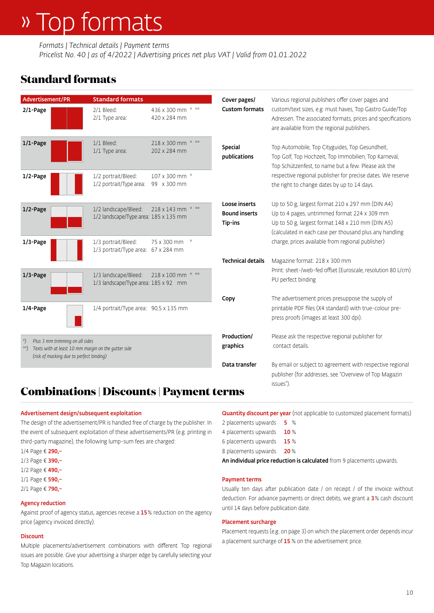# » Top formats

*Formats | Technical details | Payment terms*

*Pricelist No. 40 | as of 4/2022 | Advertising prices net plus VAT | Valid from 01.01.2022*

## **Standard formats**

| Advertisement/PR                                                            | <b>Standard formats</b>                                       |                                   | Cover pages/                                     | Various regional publishers offer cover pages and                                                                                                                                                               |
|-----------------------------------------------------------------------------|---------------------------------------------------------------|-----------------------------------|--------------------------------------------------|-----------------------------------------------------------------------------------------------------------------------------------------------------------------------------------------------------------------|
| 2/1-Page                                                                    | 2/1 Bleed:<br>2/1 Type area:                                  | 436 x 300 mm * **<br>420 x 284 mm | <b>Custom formats</b>                            | custom/text sizes, e.g. must haves, Top Gastro Guide/Top<br>Adressen. The associated formats, prices and specifications<br>are available from the regional publishers.                                          |
| $1/1$ -Page                                                                 | 1/1 Bleed:<br>1/1 Type area:                                  | 218 x 300 mm * **<br>202 x 284 mm | Special<br>publications                          | Top Automobile, Top Cityguides, Top Gesundheit,<br>Top Golf, Top Hochzeit, Top Immobilien, Top Karneval,<br>Top Schützenfest, to name but a few. Please ask the                                                 |
| 1/2-Page                                                                    | 1/2 portrait/Bleed:<br>1/2 portrait/Type area:                | 107 x 300 mm *<br>99 x 300 mm     |                                                  | respective regional publisher for precise dates. We reserve<br>the right to change dates by up to 14 days.                                                                                                      |
| 1/2-Page                                                                    | 1/2 landscape/Bleed:<br>1/2 landscape/Type area: 185 x 135 mm | 218 x 143 mm * **                 | Loose inserts<br><b>Bound inserts</b><br>Tip-ins | Up to 50 g, largest format 210 x 297 mm (DIN A4)<br>Up to 4 pages, untrimmed format 224 x 309 mm<br>Up to 50 g, largest format 148 x 210 mm (DIN A5)<br>(calculated in each case per thousand plus any handling |
| 1/3-Page                                                                    | 1/3 portrait/Bleed:<br>1/3 portrait/Type area: 67 x 284 mm    | 75 x 300 mm<br>$\frac{1}{2}$      |                                                  | charge, prices available from regional publisher)                                                                                                                                                               |
|                                                                             |                                                               |                                   | <b>Technical details</b>                         | Magazine format: 218 x 300 mm                                                                                                                                                                                   |
| 1/3-Page                                                                    | 1/3 landscape/Bleed:<br>1/3 landscape/Type area: 185 x 92 mm  | 218 x 100 mm * **                 |                                                  | Print: sheet-/web-fed offset (Euroscale, resolution 80 L/cm)<br>PU perfect binding                                                                                                                              |
|                                                                             |                                                               |                                   | Copy                                             | The advertisement prices presuppose the supply of                                                                                                                                                               |
| 1/4-Page                                                                    | 1/4 portrait/Type area: 90,5 x 135 mm                         |                                   |                                                  | printable PDF files (X4 standard) with true-colour pre-<br>press proofs (images at least 300 dpi).                                                                                                              |
|                                                                             |                                                               |                                   | Production/                                      | Please ask the respective regional publisher for                                                                                                                                                                |
| Plus 3 mm trimming on all sides<br>(risk of masking due to perfect binding) | Texts with at least 10 mm margin on the gutter side           |                                   | graphics                                         | contact details.                                                                                                                                                                                                |
|                                                                             |                                                               |                                   | Data transfer                                    | By email or subject to agreement with respective regional<br>publisher (for addresses, see "Overview of Top Magazin<br>issues").                                                                                |

### **Combinations | Discounts | Payment terms**

### Advertisement design/subsequent exploitation

The design of the advertisement/PR is handled free of charge by the publisher. In the event of subsequent exploitation of these advertisements/PR (e.g. printing in third-party magazine), the following lump-sum fees are charged:

- 1/4 Page € 290,–
- 1/3 Page € 390,-
- 1/2 Page € 490,–
- 1/1 Page € 590,–
- 2/1 Page € 790,-

### Agency reduction

Against proof of agency status, agencies receive a 15% reduction on the agency price (agency invoiced directly).

### **Discount**

Multiple placements/advertisement combinations with different Top regional issues are possible. Give your advertising a sharper edge by carefully selecting your Top Magazin locations.

Quantity discount per year (not applicable to customized placement formats)

| And in distribution in the mode continue to polit |         |
|---------------------------------------------------|---------|
| 8 placements upwards                              | 20%     |
| 6 placements upwards                              | 15%     |
| 4 placements upwards                              | 10%     |
| 2 placements upwards                              | %<br>5. |

An individual price reduction is calculated from 9 placements upwards.

#### Payment terms

Usually ten days after publication date / on receipt / of the invoice without deduction. For advance payments or direct debits, we grant a 3% cash discount until 14 days before publication date.

### Placement surcharge

Placement requests (e.g. on page 3) on which the placement order depends incur a placement surcharge of 15 % on the advertisement price.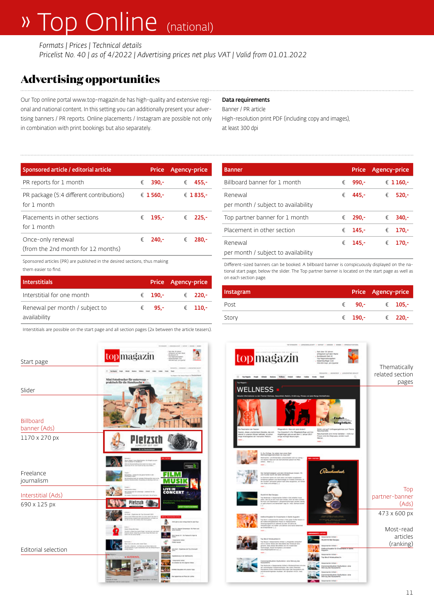# » Top Online (national)

*Formats | Prices | Technical details Pricelist No. 40 | as of 4/2022 | Advertising prices net plus VAT | Valid from 01.01.2022*

## **Advertising opportunities**

Our Top online portal www.top-magazin.de has high-quality and extensive regional and national content. In this setting you can additionally present your advertising banners / PR reports. Online placements / Instagram are possible not only in combination with print bookings but also separately.

### Data requirements

Banner / PR article

High-resolution print PDF (including copy and images), at least 300 dpi

| Sponsored article / editorial article                   |            | <b>Price</b> | Agency-price          |
|---------------------------------------------------------|------------|--------------|-----------------------|
| PR reports for 1 month                                  | $\epsilon$ | $390 -$      | €<br>$455 -$          |
| PR package (5:4 different contributions)<br>for 1 month |            | € 1560.-     | € 1835.-              |
| Placements in other sections<br>for 1 month             |            | € 195.-      | $\epsilon$<br>$225 -$ |
| Once-only renewal<br>(from the 2nd month for 12 months) |            | € 240.-      | €<br>$280 -$          |

Sponsored articles (PR) are published in the desired sections, thus making them easier to find.

| <b>Interstitials</b>           |  |                 | Price Agency-price |                  |
|--------------------------------|--|-----------------|--------------------|------------------|
| Interstitial for one month     |  | € 190.-         |                    | € 220.-          |
| Renewal per month / subject to |  | $\epsilon$ 95.- |                    | $\epsilon$ 110.- |
| availability                   |  |                 |                    |                  |

Interstitials are possible on the start page and all section pages (2x between the article teasers).

| Start page                       | <mark>top</mark> magazin                                                |
|----------------------------------|-------------------------------------------------------------------------|
| Slider                           | Mini Fotodrucker für unterwegs – praktisch für die Handtasche $\bullet$ |
| <b>Billboard</b><br>banner (Ads) |                                                                         |
| 1170 x 270 px                    |                                                                         |
| Freelance<br>journalism          | <b>Hotel</b>                                                            |
| Interstitial (Ads)               |                                                                         |
| 690 x 125 px                     |                                                                         |
|                                  |                                                                         |
| Editorial selection              |                                                                         |
|                                  | <b>AUSWA</b>                                                            |
|                                  |                                                                         |
|                                  |                                                                         |

| <b>Banner</b>                                  |   | <b>Price</b> | Agency-price |
|------------------------------------------------|---|--------------|--------------|
| Billboard banner for 1 month                   | € | $990 -$      | € 1160,-     |
| Renewal<br>per month / subject to availability | € | $445 -$      | €<br>$520 -$ |
| Top partner banner for 1 month                 | € | $290 -$      | €<br>$340 -$ |
| Placement in other section                     | € | $145 -$      | €<br>$170 -$ |
| Renewal                                        | € | $145 -$      | €<br>170.-   |
| per month / subject to availability            |   |              |              |

Different-sized banners can be booked. A billboard banner is conspicuously displayed on the national start page, below the slider. The Top partner banner is located on the start page as well as on each section page.

| <b>Instagram</b> |                 | Price Agency-price |  |
|------------------|-----------------|--------------------|--|
| Post             | $\epsilon$ 90.- | $\epsilon$ 105.-   |  |
| Story            | € 190,-         | € 220,-            |  |
|                  |                 |                    |  |

| <b>BAS LIFESTEED WARREN</b><br>FEE BIE ATEIFE<br>topmagazin<br>Tompik High Lifets Boos Miles Indet Cabe Cable Inch Sed<br><b>College College College</b><br><b>WELLNESS</b>                                                                                                                                                                                                                                                                                                                              | PERSONAL A LONGISLACIAT A ASENE A MARIN A STAND A P<br>- Set über 35 Jahren<br>erfolgreich auf dem Harlitt<br>- Buildeawell fast 43<br>Top Regionalsuspiter<br>Gesamtauflage rund<br>490.000 Expl. pro Quartal<br>$\circ$                        | Thematically<br>related section<br>pages |
|----------------------------------------------------------------------------------------------------------------------------------------------------------------------------------------------------------------------------------------------------------------------------------------------------------------------------------------------------------------------------------------------------------------------------------------------------------------------------------------------------------|--------------------------------------------------------------------------------------------------------------------------------------------------------------------------------------------------------------------------------------------------|------------------------------------------|
| Restruction der Feschen<br>Magaratorn: Was sich anyt Ander/<br>True Olaswids of a Für Phopotentia frige and item<br>leater, dieses unacheinbare Gewebe, das sich<br>beral in unanem Körper befindet, lat schun<br>Angehörigen gibt es seit dem 1. Januar 2017<br>inja Arbeitsprinkt der manuallen Medizin.<br>empt wichtige Neuerungen.                                                                                                                                                                  | <b>Little Date</b><br>Vetsphethea.<br>Schön und gut? Unthageergebnisse zum Thama<br>Returksametra<br>Relunksemetik wird immer beliefter - nicht nur<br>Frauer and dix Zelgrupps, sendern auch<br><b>Highlight</b>                                |                                          |
| 5. Du Chiliga: So rettet man aines Rest<br>Welmachtsgemütlichkeit via raue Jahr<br><b>Exhibits- und Winterdeke unbereiher</b><br>ot letzerer ikest sich die Gemütlichkeit jestech bis März<br>peter, Elen [.]<br>ma .<br>Der Herbstimpdigkeit und dem Winterblues brogen. Fit<br>by Summar waren wir moch abdis und halten aus<br>Scrippertyx gallered und Nechnistlege im Freibed verbracht, In-<br>Ber durchter Jahresand jedoch Gulf alles langsamer, ein Kirken<br>yre mode and solitage (-)<br>make |                                                                                                                                                                                                                                                  | Top                                      |
| <b>Number Red Sedana</b><br>The Bostersee + Desponserier Artikel + Viel artistier muse<br>jean, de la argot sun kan Smus. Doct at won drawn<br>Burnout und Depressor? "Streamhrantungen werden Neufig<br>Is spit sriannt und behandelt" zug Dr. mail: Gehand Schei<br>$\overline{1}$<br>mate.                                                                                                                                                                                                            |                                                                                                                                                                                                                                                  | partner-banner<br>(Ads)                  |
| cultimathopade for Dreadhaere in Sankt Augustin<br>Top Bonn a desponsement dirtikel a flast jeder fürthe Patient in<br>Jim traderorthoppdischen Praxis im medizimischen<br>remorgangements in adentity for any 19 Jahre art.<br>Networkingen van Kheller und Zahnen and keine St<br>te Enacheren []<br>mate                                                                                                                                                                                              |                                                                                                                                                                                                                                                  | 473 x 600 px<br>Most-read                |
| Tea Benuf Hitrakustiken'in<br>Top Neuro + Desponserter Artikel + "Hiliganitie verkauft<br>and in keiner Weise dem Berufsteld des Hörstkust-kers.<br>perecht, Dass draws Berufished and risk modernater<br>Rechnologie, Sozal kompetenz und besten.<br>Zukunfleperspektiven zu []<br>mehr                                                                                                                                                                                                                 | serier in that +<br><b><i><u>Indicate Bad Sevinau</u></i></b><br><b>Consensator Arthur +</b><br>Kelerarthopide für Brauchasne in Sanke<br>Desponse/lar Arthur +                                                                                  | articles<br>(ranking)                    |
| andbuttren Dysfuntion: eine Störung des<br><b>BASINETS</b><br>Tep Karlanuha + Gesponsentar Antikal + Kolikansolinirani isl an<br>By reforefactor Volumers/Mater, Be view Netwood<br>Perspierer Árats militerweite Börungen des Kausystems als<br>administreteiningenden Austiteer. Wir sprachen mit (in, med.<br>1.1<br>nati .                                                                                                                                                                           | Tree Benuf Hitrakustiker/in<br>Desponsantar Artikel +<br>Osniamentituikren Darfunktion, eine<br>Störung des Keuspilerte<br><b>Department of Articles'</b><br>Ownerweitsären Busfunktion: eine<br>Stänung des Kauspalerie<br>Cooperactor Intimity |                                          |